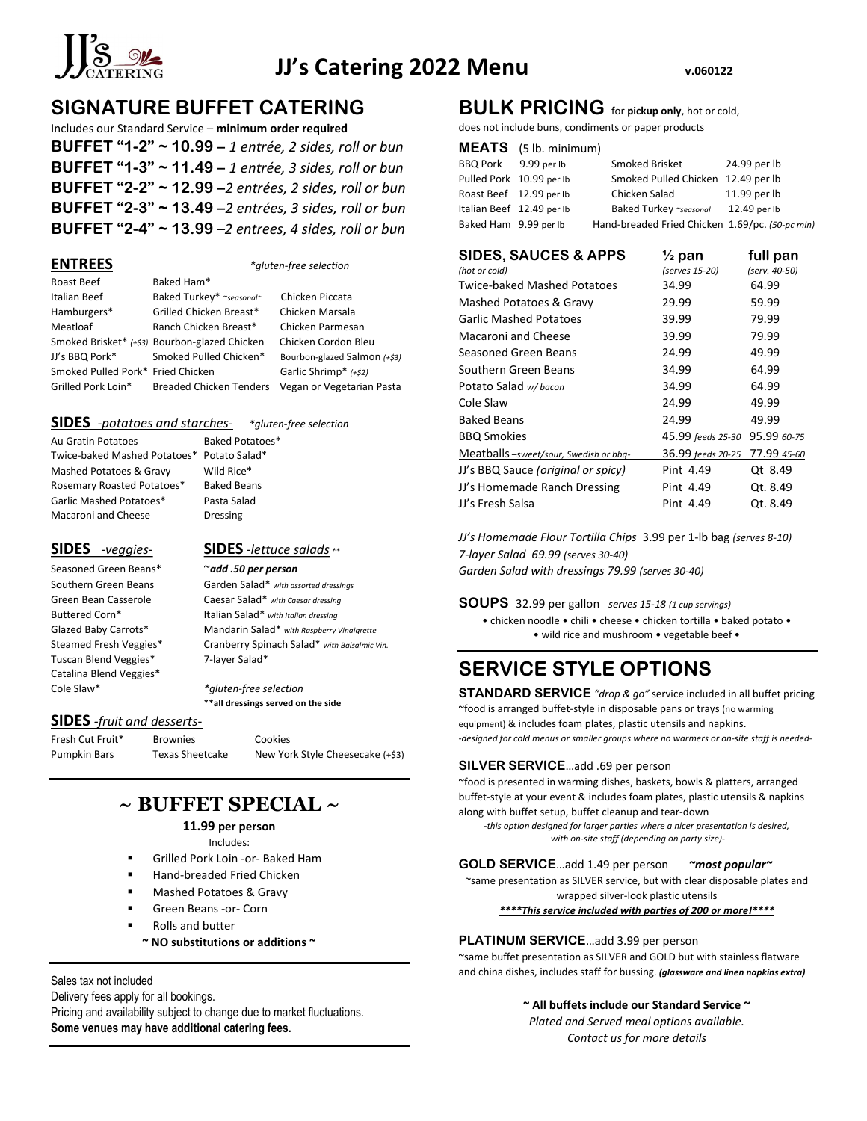

# JJ's Catering 2022 Menu v.060122

# SIGNATURE BUFFET CATERING

Includes our Standard Service – minimum order required BUFFET "1-2"  $\sim$  10.99 – 1 entrée, 2 sides, roll or bun BUFFET "1-3"  $\sim$  11.49 – 1 entrée, 3 sides, roll or bun BUFFET "2-2" ~ 12.99 –2 entrées, 2 sides, roll or bun BUFFET "2-3" ~ 13.49 –2 entrées, 3 sides, roll or bun BUFFET "2-4" ~ 13.99 –2 entrees, 4 sides, roll or bun

### ENTREES \*gluten-free selection

| Roast Beef                        | Baked Ham*                                    |                              |
|-----------------------------------|-----------------------------------------------|------------------------------|
| Italian Beef                      | Baked Turkey* ~seasonal~                      | Chicken Piccata              |
| Hamburgers*                       | Grilled Chicken Breast*                       | Chicken Marsala              |
| Meatloaf                          | Ranch Chicken Breast*                         | Chicken Parmesan             |
|                                   | Smoked Brisket* (+\$3) Bourbon-glazed Chicken | Chicken Cordon Bleu          |
| JJ's BBQ Pork*                    | Smoked Pulled Chicken*                        | Bourbon-glazed Salmon (+\$3) |
| Smoked Pulled Pork* Fried Chicken |                                               | Garlic Shrimp* (+\$2)        |
| Grilled Pork Loin*                | <b>Breaded Chicken Tenders</b>                | Vegan or Vegetarian Pasta    |

# SIDES -potatoes and starches- \*gluten-free selection

Au Gratin Potatoes Baked Potatoes\* Twice-baked Mashed Potatoes\* Potato Salad\* Mashed Potatoes & Gravy Wild Rice\* Rosemary Roasted Potatoes\* Baked Beans Garlic Mashed Potatoes\* Pasta Salad Macaroni and Cheese Dressing

Seasoned Green Beans\* ~add .50 per person Tuscan Blend Veggies\* 7-layer Salad\* Catalina Blend Veggies\*

SIDES -veggies-<br>SIDES -lettuce salads \*\*

Southern Green Beans Garden Salad\* with assorted dressings Green Bean Casserole Caesar Salad\* with Caesar dressing Buttered Corn\* 1talian Salad\* with Italian dressing Glazed Baby Carrots\* Mandarin Salad\* with Raspberry Vinaigrette Steamed Fresh Veggies\* Cranberry Spinach Salad\* with Balsalmic Vin.

Cole Slaw\* \*gluten-free selection \*\*all dressings served on the side

### SIDES -fruit and desserts-

Fresh Cut Fruit\* Brownies Cookies

Pumpkin Bars Texas Sheetcake New York Style Cheesecake (+\$3)

# $\sim$  BUFFET SPECIAL  $\sim$

### 11.99 per person

Includes:

- Grilled Pork Loin -or- Baked Ham
- Hand-breaded Fried Chicken
- Mashed Potatoes & Gravy
- Green Beans -or- Corn
- Rolls and butter
	- $\sim$  NO substitutions or additions  $\sim$

Sales tax not included

Delivery fees apply for all bookings.

Pricing and availability subject to change due to market fluctuations. Some venues may have additional catering fees.

# BULK PRICING for pickup only, hot or cold,

does not include buns, condiments or paper products

# MEATS (5 lb. minimum)

| BBQ Pork 9.99 per lb      | Smoked Brisket                                  | 24.99 per lb |
|---------------------------|-------------------------------------------------|--------------|
| Pulled Pork 10.99 per lb  | Smoked Pulled Chicken 12.49 per lb              |              |
| Roast Beef 12.99 per lb   | Chicken Salad                                   | 11.99 per lb |
| Italian Beef 12.49 per lb | Baked Turkey ~seasonal                          | 12.49 per lb |
| Baked Ham 9.99 per lb     | Hand-breaded Fried Chicken 1.69/pc. (50-pc min) |              |
|                           |                                                 |              |

# SIDES, SAUCES & APPS  $\frac{1}{2}$  pan full pan

| (hot or cold)                          | (serves 15-20)    | (serv. 40-50) |
|----------------------------------------|-------------------|---------------|
| <b>Twice-baked Mashed Potatoes</b>     | 34.99             | 64.99         |
| Mashed Potatoes & Gravy                | 29.99             | 59.99         |
| <b>Garlic Mashed Potatoes</b>          | 39.99             | 79.99         |
| <b>Macaroni and Cheese</b>             | 39.99             | 79.99         |
| Seasoned Green Beans                   | 24.99             | 49.99         |
| Southern Green Beans                   | 34.99             | 64.99         |
| Potato Salad w/bacon                   | 34.99             | 64.99         |
| Cole Slaw                              | 24.99             | 49.99         |
| <b>Baked Beans</b>                     | 24.99             | 49.99         |
| <b>BBQ Smokies</b>                     | 45.99 feeds 25-30 | 95.99 60-75   |
| Meatballs -sweet/sour, Swedish or bbq- | 36.99 feeds 20-25 | 77.99 45-60   |
| JJ's BBQ Sauce (original or spicy)     | Pint 4.49         | Ot 8.49       |
| JJ's Homemade Ranch Dressing           | Pint 4.49         | Qt. 8.49      |
| JJ's Fresh Salsa                       | Pint 4.49         | Ot. 8.49      |

JJ's Homemade Flour Tortilla Chips 3.99 per 1-lb bag (serves 8-10) 7-layer Salad 69.99 (serves 30-40) Garden Salad with dressings 79.99 (serves 30-40)

SOUPS 32.99 per gallon serves 15-18 (1 cup servings)

• chicken noodle • chili • cheese • chicken tortilla • baked potato • • wild rice and mushroom • vegetable beef •

# SERVICE STYLE OPTIONS

STANDARD SERVICE "drop & go" service included in all buffet pricing ~food is arranged buffet-style in disposable pans or trays (no warming equipment) & includes foam plates, plastic utensils and napkins. -designed for cold menus or smaller groups where no warmers or on-site staff is needed-

# SILVER SERVICE…add .69 per person

~food is presented in warming dishes, baskets, bowls & platters, arranged buffet-style at your event & includes foam plates, plastic utensils & napkins along with buffet setup, buffet cleanup and tear-down

-this option designed for larger parties where a nicer presentation is desired, with on-site staff (depending on party size)-

## GOLD SERVICE...add 1.49 per person *~most popular~*

~same presentation as SILVER service, but with clear disposable plates and wrapped silver-look plastic utensils

\*\*\*\*This service included with parties of 200 or more!\*\*\*\*

# PLATINUM SERVICE...add 3.99 per person

~same buffet presentation as SILVER and GOLD but with stainless flatware and china dishes, includes staff for bussing. (glassware and linen napkins extra)

## ~ All buffets include our Standard Service ~

Plated and Served meal options available. Contact us for more details